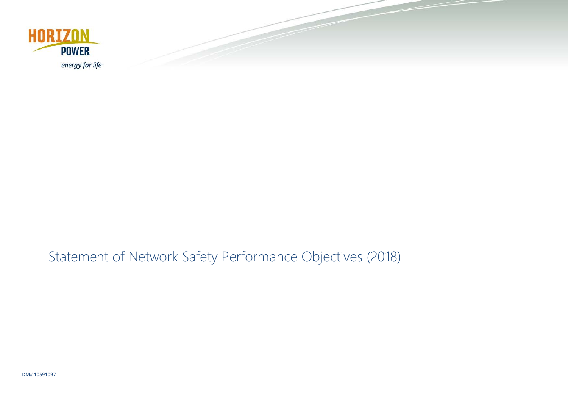

# Statement of Network Safety Performance Objectives (2018)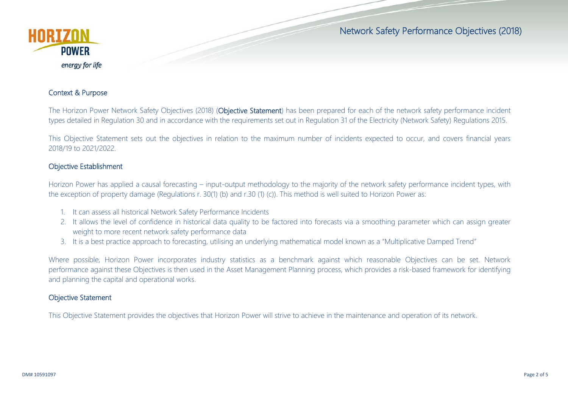



### Context & Purpose

The Horizon Power Network Safety Objectives (2018) (Objective Statement) has been prepared for each of the network safety performance incident types detailed in Regulation 30 and in accordance with the requirements set out in Regulation 31 of the Electricity (Network Safety) Regulations 2015.

This Objective Statement sets out the objectives in relation to the maximum number of incidents expected to occur, and covers financial years 2018/19 to 2021/2022.

#### Objective Establishment

Horizon Power has applied a causal forecasting – input-output methodology to the majority of the network safety performance incident types, with the exception of property damage (Regulations r. 30(1) (b) and r.30 (1) (c)). This method is well suited to Horizon Power as:

- 1. It can assess all historical Network Safety Performance Incidents
- 2. It allows the level of confidence in historical data quality to be factored into forecasts via a smoothing parameter which can assign greater weight to more recent network safety performance data
- 3. It is a best practice approach to forecasting, utilising an underlying mathematical model known as a "Multiplicative Damped Trend"

Where possible, Horizon Power incorporates industry statistics as a benchmark against which reasonable Objectives can be set. Network performance against these Objectives is then used in the Asset Management Planning process, which provides a risk-based framework for identifying and planning the capital and operational works.

### Objective Statement

This Objective Statement provides the objectives that Horizon Power will strive to achieve in the maintenance and operation of its network.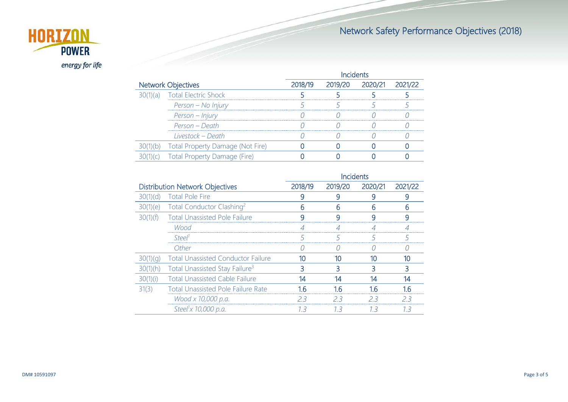## Network Safety Performance Objectives (2018)



| <b>Network Objectives</b> |                                         | 2018/19  2019/20  2020/21  2021 |  |  |
|---------------------------|-----------------------------------------|---------------------------------|--|--|
| $\cup$ (a)                | <b>Total Electric Shock</b>             |                                 |  |  |
|                           | Person - No Injury                      |                                 |  |  |
|                           | Person – Injury                         |                                 |  |  |
|                           | Person – Death                          |                                 |  |  |
|                           | Livestock - Death                       |                                 |  |  |
|                           | <b>Iotal Property Damage (Not Fire)</b> |                                 |  |  |
|                           | - Total Pr<br>Fire'                     |                                 |  |  |
|                           |                                         |                                 |  |  |

|                                        |                                            | Incidents |         |         |         |
|----------------------------------------|--------------------------------------------|-----------|---------|---------|---------|
| <b>Distribution Network Objectives</b> |                                            | 2018/19   | 2019/20 | 2020/21 | 2021/22 |
| 30(1)(d)                               | <b>Total Pole Fire</b>                     |           |         | q       |         |
| 30(1)(e)                               | Total Conductor Clashing <sup>2</sup>      | h         | 6       | h       | 6       |
| 30(1)(f)                               | <b>Total Unassisted Pole Failure</b>       | q         | a       | a       | a       |
|                                        | Wood                                       |           |         |         |         |
|                                        | Steel                                      |           |         |         |         |
|                                        | Other                                      |           |         |         |         |
|                                        | <b>Total Unassisted Conductor Failure</b>  |           |         |         |         |
| 30(1)(h)                               | Total Unassisted Stay Failure <sup>3</sup> | 3         |         |         |         |
| 30(1)(i)                               | <b>Total Unassisted Cable Failure</b>      | 14        | 14      | 14      | 14      |
| 31(3)                                  | <b>Total Unassisted Pole Failure Rate</b>  |           |         |         |         |
|                                        | Wood x 10,000 p.a.                         | フ3        | フマ      | 23      | 23      |
|                                        | Steel <sup>1</sup> x 10,000 p.a.           | -3        | 13      | 13      | 13      |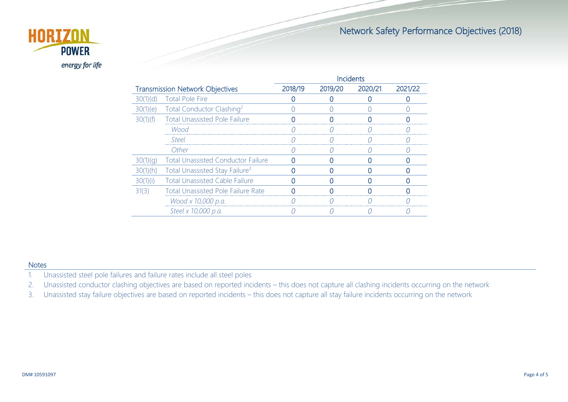### Network Safety Performance Objectives (2018)



|                                        |                                            | Incidents |         |         |         |
|----------------------------------------|--------------------------------------------|-----------|---------|---------|---------|
| <b>Transmission Network Objectives</b> |                                            | 2018/19   | 2019/20 | 2020/21 | 2021/22 |
| 30(1)(d)                               | <b>Total Pole Fire</b>                     |           |         |         |         |
| 30(1)(e)                               | Total Conductor Clashing <sup>2</sup>      |           |         |         |         |
| 30(1)(f)                               | <b>Total Unassisted Pole Failure</b>       |           |         |         |         |
|                                        | Wood                                       |           |         |         |         |
|                                        | Steel                                      |           |         |         |         |
|                                        | Other                                      |           |         |         |         |
| 30(1)(q)                               | <b>Total Unassisted Conductor Failure</b>  |           |         |         |         |
| 30(1)(h)                               | Total Unassisted Stay Failure <sup>3</sup> |           |         |         |         |
| 30(1)(i)                               | <b>Total Unassisted Cable Failure</b>      |           |         |         |         |
| 31(3)                                  | <b>Total Unassisted Pole Failure Rate</b>  |           |         |         |         |
|                                        | Wood x 10,000 p.a.                         |           |         |         |         |
|                                        | Steel x 10,000 p.a.                        |           |         |         |         |

#### **Notes**

- 1. Unassisted steel pole failures and failure rates include all steel poles
- 2. Unassisted conductor clashing objectives are based on reported incidents this does not capture all clashing incidents occurring on the network
- 3. Unassisted stay failure objectives are based on reported incidents this does not capture all stay failure incidents occurring on the network